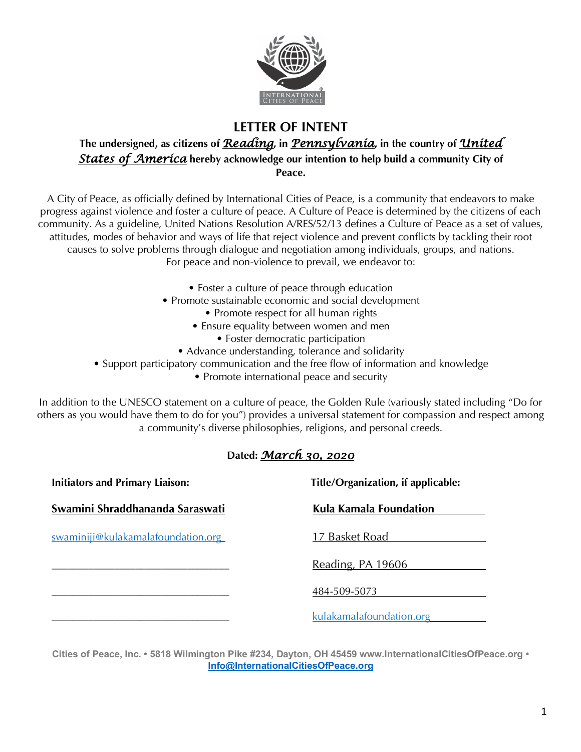

## **LETTER OF INTENT**

## **The undersigned, as citizens of** *Reading***, in** *Pennsylvania***, in the country of** *United States of America* **hereby acknowledge our intention to help build a community City of Peace.**

A City of Peace, as officially defined by International Cities of Peace, is a community that endeavors to make progress against violence and foster a culture of peace. A Culture of Peace is determined by the citizens of each community. As a guideline, United Nations Resolution A/RES/52/13 defines a Culture of Peace as a set of values, attitudes, modes of behavior and ways of life that reject violence and prevent conflicts by tackling their root causes to solve problems through dialogue and negotiation among individuals, groups, and nations. For peace and non-violence to prevail, we endeavor to:

- Foster a culture of peace through education
- Promote sustainable economic and social development
	- Promote respect for all human rights
	- Ensure equality between women and men
		- Foster democratic participation
	- Advance understanding, tolerance and solidarity
- Support participatory communication and the free flow of information and knowledge
	- Promote international peace and security

In addition to the UNESCO statement on a culture of peace, the Golden Rule (variously stated including "Do for others as you would have them to do for you") provides a universal statement for compassion and respect among a community's diverse philosophies, religions, and personal creeds.

## **Dated:** *March 30, 2020*

| <b>Initiators and Primary Liaison:</b> | Title/Organization, if applicable: |  |
|----------------------------------------|------------------------------------|--|
| Swamini Shraddhananda Saraswati        | Kula Kamala Foundation             |  |
| swaminiji@kulakamalafoundation.org     | 17 Basket Road                     |  |
|                                        | Reading, PA 19606                  |  |
|                                        | 484-509-5073                       |  |
|                                        | kulakamalafoundation.org           |  |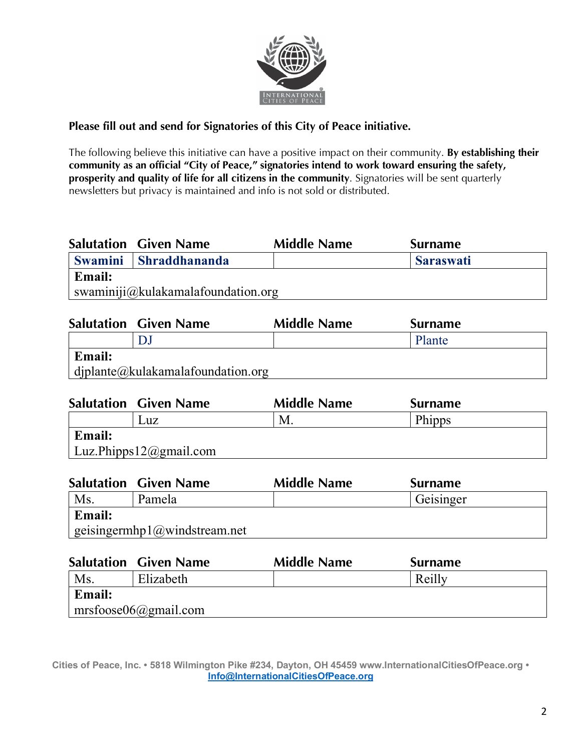

## **Please fill out and send for Signatories of this City of Peace initiative.**

The following believe this initiative can have a positive impact on their community. **By establishing their community as an official "City of Peace," signatories intend to work toward ensuring the safety, prosperity and quality of life for all citizens in the community**. Signatories will be sent quarterly newsletters but privacy is maintained and info is not sold or distributed.

|                | <b>Salutation Given Name</b>       | <b>Middle Name</b> | <b>Surname</b>   |
|----------------|------------------------------------|--------------------|------------------|
| <b>Swamini</b> | <b>Shraddhananda</b>               |                    | <b>Saraswati</b> |
| <b>Email:</b>  |                                    |                    |                  |
|                | swaminiji@kulakamalafoundation.org |                    |                  |

|        | <b>Salutation Given Name</b>                  | <b>Middle Name</b> | <b>Surname</b> |
|--------|-----------------------------------------------|--------------------|----------------|
|        |                                               |                    | Plante         |
| Email: |                                               |                    |                |
|        | $\int$ diplante (a) kulakamala foundation.org |                    |                |

|               | <b>Salutation Given Name</b> | <b>Middle Name</b> | <b>Surname</b> |  |
|---------------|------------------------------|--------------------|----------------|--|
|               | Luz                          | M.                 | Phipps         |  |
| <b>Email:</b> |                              |                    |                |  |
|               | Luz.Phipps12@gmail.com       |                    |                |  |

|               | <b>Salutation Given Name</b> | <b>Middle Name</b> | <b>Surname</b> |
|---------------|------------------------------|--------------------|----------------|
| Ms            | Pamela                       |                    | Geisinger      |
| <b>Email:</b> |                              |                    |                |
|               | geisingermhp1@windstream.net |                    |                |

|        | <b>Salutation Given Name</b> | <b>Middle Name</b> | <b>Surname</b> |  |
|--------|------------------------------|--------------------|----------------|--|
| Ms     | Elizabeth                    |                    | Reilly         |  |
| Email: |                              |                    |                |  |
|        | $\vert$ mrsfoose06@gmail.com |                    |                |  |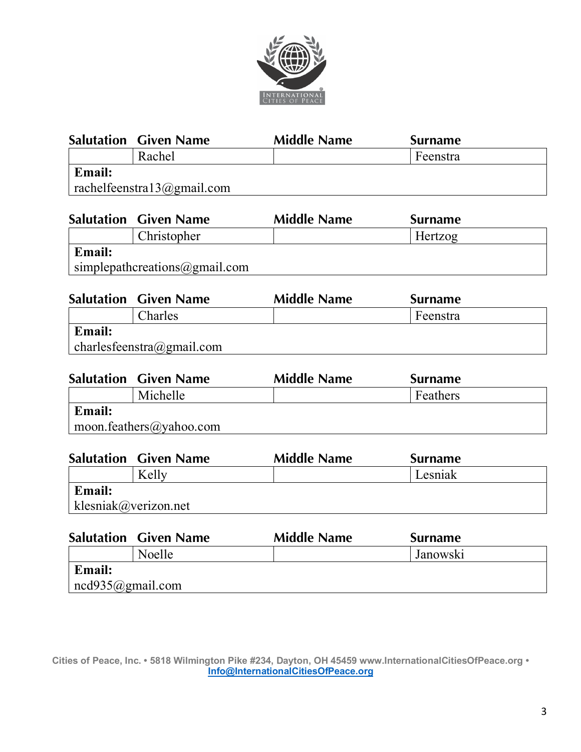

|        | <b>Salutation Given Name</b>                        | <b>Middle Name</b> | <b>Surname</b> |
|--------|-----------------------------------------------------|--------------------|----------------|
|        | Rachel                                              |                    | Feenstra       |
| Email: |                                                     |                    |                |
|        | $rac{\text{hclfeenstra13} (a) \text{gmail.com}}{2}$ |                    |                |

|               | <b>Salutation Given Name</b>  | <b>Middle Name</b> | <b>Surname</b> |
|---------------|-------------------------------|--------------------|----------------|
|               | Christopher                   |                    | Hertzog        |
| <b>Email:</b> |                               |                    |                |
|               | simplepathcreations@gmail.com |                    |                |

|               | <b>Salutation Given Name</b> | <b>Middle Name</b> | Surname  |
|---------------|------------------------------|--------------------|----------|
|               | Charles                      |                    | Feenstra |
| <b>Email:</b> |                              |                    |          |
|               | charlesfeenstra@gmail.com    |                    |          |

|        | <b>Salutation Given Name</b> | <b>Middle Name</b> | <b>Surname</b> |
|--------|------------------------------|--------------------|----------------|
|        | Michelle                     |                    | Feathers       |
| Email: |                              |                    |                |
|        | moon.feathers@yahoo.com      |                    |                |

|                      | <b>Salutation Given Name</b> | <b>Middle Name</b> | <b>Surname</b> |  |
|----------------------|------------------------------|--------------------|----------------|--|
|                      | Kelly                        |                    | Lesniak        |  |
| <b>Email:</b>        |                              |                    |                |  |
| klesniak@verizon.net |                              |                    |                |  |

|                          | <b>Salutation Given Name</b> | <b>Middle Name</b> | <b>Surname</b> |  |
|--------------------------|------------------------------|--------------------|----------------|--|
|                          | Noelle                       |                    | Janowski       |  |
| Email:                   |                              |                    |                |  |
| $\vert$ ncd935@gmail.com |                              |                    |                |  |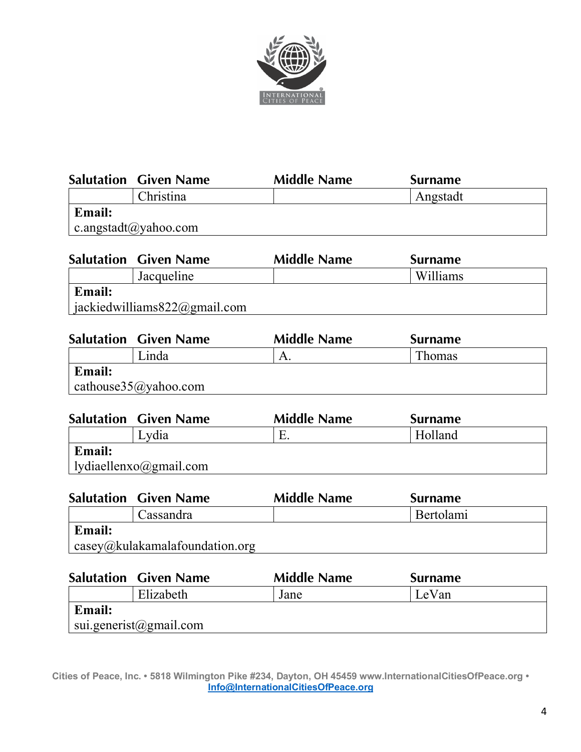

|               | <b>Salutation Given Name</b> | <b>Middle Name</b> | <b>Surname</b> |
|---------------|------------------------------|--------------------|----------------|
|               | Christina                    |                    | Angstadt       |
| <b>Email:</b> |                              |                    |                |
|               | c.angstadt@yahoo.com         |                    |                |

|               | <b>Salutation Given Name</b>     | <b>Middle Name</b> | <b>Surname</b> |
|---------------|----------------------------------|--------------------|----------------|
|               | Jacqueline                       |                    | Williams       |
| <b>Email:</b> |                                  |                    |                |
|               | jackiedwilliams $822$ @gmail.com |                    |                |

|               | <b>Salutation Given Name</b>         | <b>Middle Name</b> | <b>Surname</b> |  |
|---------------|--------------------------------------|--------------------|----------------|--|
|               | Linda                                |                    | Thomas         |  |
| <b>Email:</b> |                                      |                    |                |  |
|               | cathouse $35$ ( $\alpha$ ) yahoo.com |                    |                |  |

|               | <b>Salutation Given Name</b>            | <b>Middle Name</b> | <b>Surname</b> |
|---------------|-----------------------------------------|--------------------|----------------|
|               | Lydia                                   |                    | Holland        |
| <b>Email:</b> |                                         |                    |                |
|               | $\vert$ lydiaellenxo $\omega$ gmail.com |                    |                |

|               | <b>Salutation Given Name</b>           | <b>Middle Name</b> | <b>Surname</b> |
|---------------|----------------------------------------|--------------------|----------------|
|               | Cassandra                              |                    | Bertolami      |
| <b>Email:</b> |                                        |                    |                |
|               | $\vert$ casey@kulakamalafoundation.org |                    |                |

|        | <b>Salutation Given Name</b>   | <b>Middle Name</b> | <b>Surname</b> |
|--------|--------------------------------|--------------------|----------------|
|        | Elizabeth                      | Jane               | LeVan          |
| Email: |                                |                    |                |
|        | $\vert$ sui.generist@gmail.com |                    |                |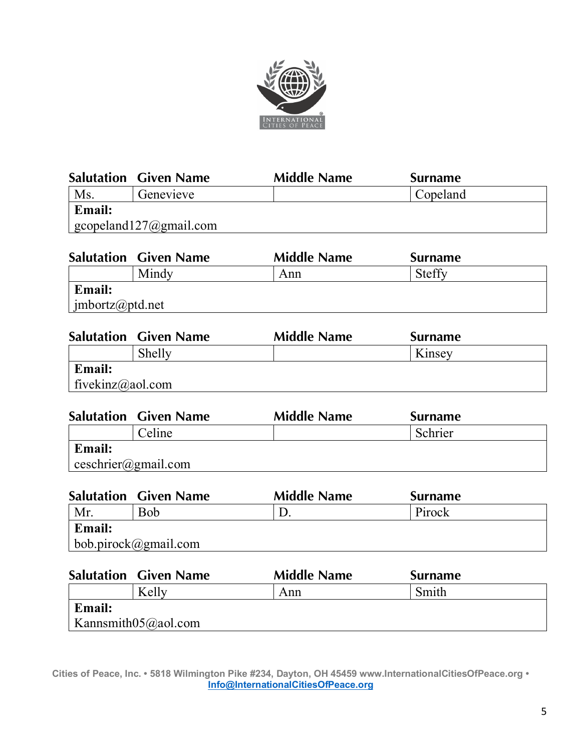

|               | <b>Salutation Given Name</b>                   | <b>Middle Name</b> | <b>Surname</b> |
|---------------|------------------------------------------------|--------------------|----------------|
| Ms            | Genevieve                                      |                    | Copeland       |
| <b>Email:</b> |                                                |                    |                |
|               | $\vert$ gcopeland $127$ ( <i>a</i> ) gmail.com |                    |                |
|               |                                                |                    |                |

| <b>Steffy</b><br>Mindy<br>Ann |  |
|-------------------------------|--|
|                               |  |
| Email:                        |  |
| $\int$ imbortz@ptd.net        |  |

|                  | <b>Salutation Given Name</b> | <b>Middle Name</b> | <b>Surname</b> |  |
|------------------|------------------------------|--------------------|----------------|--|
|                  | Shelly                       |                    | Kinsey         |  |
| <b>Email:</b>    |                              |                    |                |  |
| fivekinz@aol.com |                              |                    |                |  |

|                                | <b>Salutation Given Name</b> | <b>Middle Name</b> | <b>Surname</b> |
|--------------------------------|------------------------------|--------------------|----------------|
|                                | Celine                       |                    | Schrier        |
| <b>Email:</b>                  |                              |                    |                |
| $\epsilon$ ceschrier@gmail.com |                              |                    |                |

|               | <b>Salutation Given Name</b> | <b>Middle Name</b> | <b>Surname</b> |
|---------------|------------------------------|--------------------|----------------|
| Mr            | Bob                          |                    | Pirock         |
| <b>Email:</b> |                              |                    |                |
|               | $\mid$ bob.pirock@gmail.com  |                    |                |
|               |                              |                    |                |

|               | <b>Salutation Given Name</b> | <b>Middle Name</b> | <b>Surname</b> |  |
|---------------|------------------------------|--------------------|----------------|--|
|               | Kelly                        | Ann                | Smith          |  |
| <b>Email:</b> |                              |                    |                |  |
|               | Kannsmith $05$ @aol.com      |                    |                |  |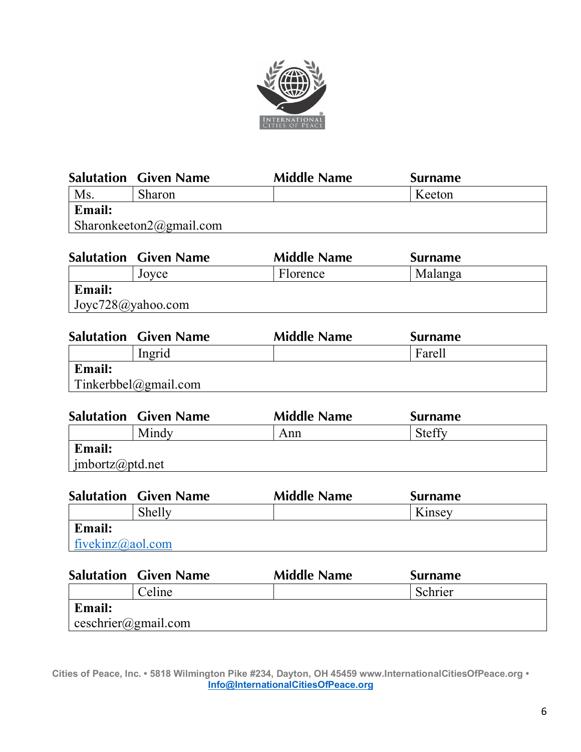

|               | <b>Salutation Given Name</b>   | <b>Middle Name</b> | <b>Surname</b> |
|---------------|--------------------------------|--------------------|----------------|
| Ms            | <b>Sharon</b>                  |                    | Keeton         |
| <b>Email:</b> |                                |                    |                |
|               | $\Box$ Sharonkeeton2@gmail.com |                    |                |
|               |                                |                    |                |

|                          | <b>Salutation Given Name</b> | <b>Middle Name</b> | <b>Surname</b> |  |
|--------------------------|------------------------------|--------------------|----------------|--|
|                          | Joyce                        | Florence           | Malanga        |  |
| Email:                   |                              |                    |                |  |
| $\int$ Joyc728@yahoo.com |                              |                    |                |  |
|                          |                              |                    |                |  |

|               | <b>Salutation Given Name</b> | <b>Middle Name</b> | <b>Surname</b> |  |
|---------------|------------------------------|--------------------|----------------|--|
|               | Ingrid                       |                    | Farell         |  |
| <b>Email:</b> |                              |                    |                |  |
|               | Tinkerbbel@gmail.com         |                    |                |  |

|                 | <b>Salutation Given Name</b> | <b>Middle Name</b> | <b>Surname</b> |  |
|-----------------|------------------------------|--------------------|----------------|--|
|                 | Mindy                        | Ann                | <b>Steffy</b>  |  |
| <b>Email:</b>   |                              |                    |                |  |
| imbortz@ptd.net |                              |                    |                |  |

|                  | <b>Salutation Given Name</b> | <b>Middle Name</b> | <b>Surname</b> |  |
|------------------|------------------------------|--------------------|----------------|--|
|                  | Shelly                       |                    | Kinsey         |  |
| <b>Email:</b>    |                              |                    |                |  |
| fivekinz@aol.com |                              |                    |                |  |

|                                           | <b>Salutation Given Name</b> | <b>Middle Name</b> | <b>Surname</b> |  |
|-------------------------------------------|------------------------------|--------------------|----------------|--|
|                                           | Celine                       |                    | Schrier        |  |
| <b>Email:</b>                             |                              |                    |                |  |
| $\cos{chrier}$ ( <i>a</i> ) example 1.00m |                              |                    |                |  |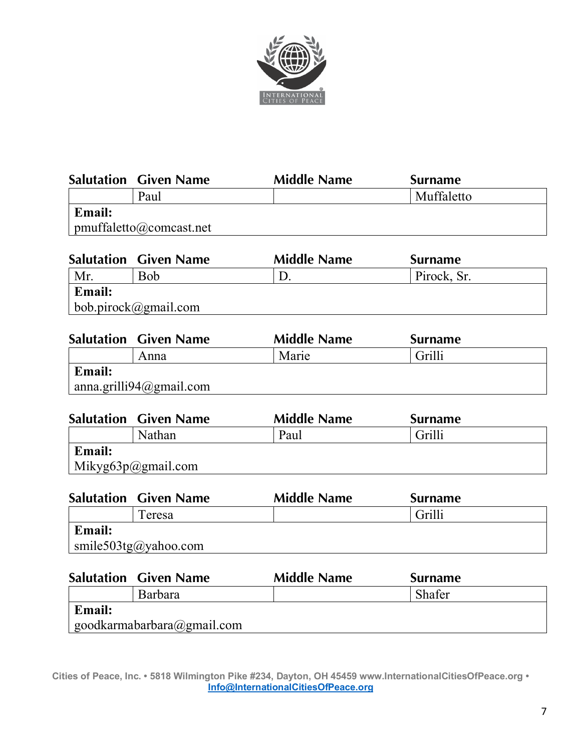

|               | <b>Salutation Given Name</b>         | <b>Middle Name</b> | <b>Surname</b> |
|---------------|--------------------------------------|--------------------|----------------|
|               | Paul                                 |                    | Muffaletto     |
| <b>Email:</b> |                                      |                    |                |
|               | $\mathbf{p}$ pmuffaletto@comcast.net |                    |                |

|        | <b>Salutation Given Name</b> | <b>Middle Name</b> | <b>Surname</b> |  |
|--------|------------------------------|--------------------|----------------|--|
| Mr     | <b>Bob</b>                   |                    | Pirock, Sr.    |  |
| Email: |                              |                    |                |  |
|        | $\vert$ bob.pirock@gmail.com |                    |                |  |

|               | <b>Salutation Given Name</b> | <b>Middle Name</b> | <b>Surname</b> |  |
|---------------|------------------------------|--------------------|----------------|--|
|               | Anna                         | Marie              | Grilli         |  |
| <b>Email:</b> |                              |                    |                |  |
|               | anna.grilli $94$ @gmail.com  |                    |                |  |

|               | <b>Salutation Given Name</b> | <b>Middle Name</b> | <b>Surname</b> |  |
|---------------|------------------------------|--------------------|----------------|--|
|               | Nathan                       | Paul               | Grilli         |  |
| <b>Email:</b> |                              |                    |                |  |
|               | Mikyg $63p$ @gmail.com       |                    |                |  |

|               | <b>Salutation Given Name</b> | <b>Middle Name</b> | <b>Surname</b> |  |
|---------------|------------------------------|--------------------|----------------|--|
|               | Teresa                       |                    | Grilli         |  |
| <b>Email:</b> |                              |                    |                |  |
|               | smile503tg@yahoo.com         |                    |                |  |

|               | <b>Salutation Given Name</b>       | <b>Middle Name</b> | <b>Surname</b> |
|---------------|------------------------------------|--------------------|----------------|
|               | <b>Barbara</b>                     |                    | Shafer         |
| <b>Email:</b> |                                    |                    |                |
|               | $\vert$ goodkarmabarbara@gmail.com |                    |                |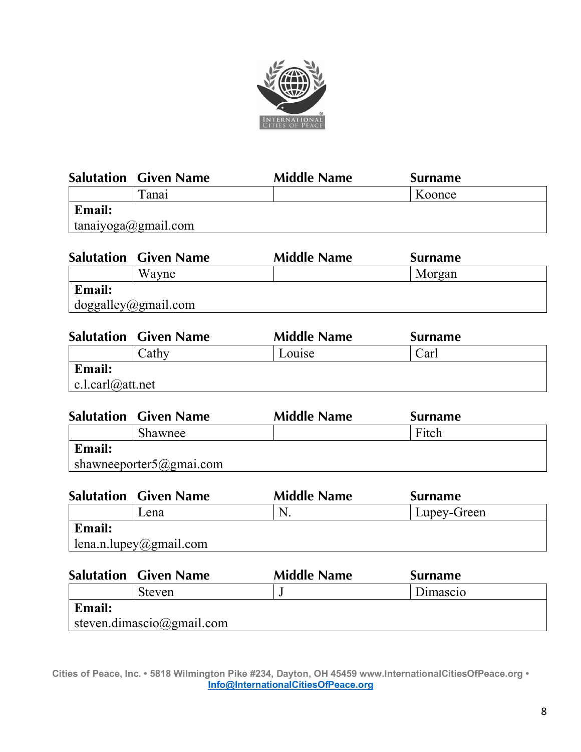

|               | <b>Salutation Given Name</b> | <b>Middle Name</b> | <b>Surname</b> |  |
|---------------|------------------------------|--------------------|----------------|--|
|               | Fanai                        |                    | Koonce         |  |
| <b>Email:</b> |                              |                    |                |  |
|               | tanaiyoga@gmail.com          |                    |                |  |
|               | <b>Salutation Given Name</b> | <b>Middle Name</b> | <b>Surname</b> |  |
|               |                              |                    |                |  |

| Wayne                                                |  | Morgan |
|------------------------------------------------------|--|--------|
| <b>Email:</b><br>$\log_{\text{galley}}(a)$ gmail.com |  |        |
|                                                      |  |        |

|                    | <b>Salutation Given Name</b> | <b>Middle Name</b> | <b>Surname</b> |  |
|--------------------|------------------------------|--------------------|----------------|--|
|                    | Cathy                        | Louise             | Carl           |  |
| <b>Email:</b>      |                              |                    |                |  |
| $ c $ carl@att.net |                              |                    |                |  |

|               | <b>Salutation Given Name</b> | <b>Middle Name</b> | <b>Surname</b> |
|---------------|------------------------------|--------------------|----------------|
|               | Shawnee                      |                    | Fitch          |
| <b>Email:</b> |                              |                    |                |
|               | shawneeporter5@gmai.com      |                    |                |

|        | <b>Salutation Given Name</b> | <b>Middle Name</b> | <b>Surname</b> |
|--------|------------------------------|--------------------|----------------|
|        | Lena                         | N.                 | Lupey-Green    |
| Email: | lena.n.lupey@gmail.com       |                    |                |
|        | <b>Salutation Given Name</b> | <b>Middle Name</b> | <b>Surname</b> |
|        | $\mathcal{C}$ torion         |                    | Dimoggio       |

|                           | steven |  | Dimascio |  |
|---------------------------|--------|--|----------|--|
| Email:                    |        |  |          |  |
| steven.dimascio@gmail.com |        |  |          |  |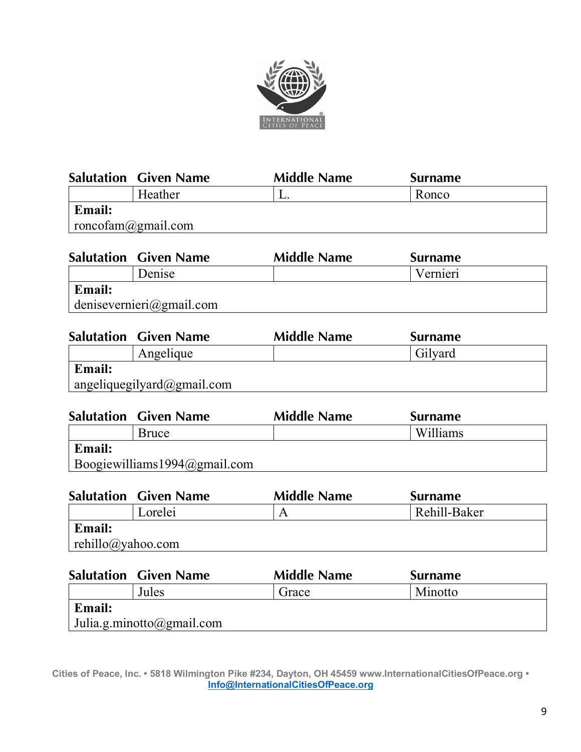

|                    | <b>Salutation Given Name</b> | <b>Middle Name</b> | <b>Surname</b> |  |
|--------------------|------------------------------|--------------------|----------------|--|
|                    | Heather                      | L.                 | Ronco          |  |
| <b>Email:</b>      |                              |                    |                |  |
| roncofam@gmail.com |                              |                    |                |  |

|               | <b>Salutation Given Name</b> | <b>Middle Name</b> | <b>Surname</b> |
|---------------|------------------------------|--------------------|----------------|
|               | Denise                       |                    | Vernieri       |
| <b>Email:</b> |                              |                    |                |
|               | denisevernieri@gmail.com     |                    |                |

|               | <b>Salutation Given Name</b> | <b>Middle Name</b> | <b>Surname</b> |
|---------------|------------------------------|--------------------|----------------|
|               | Angelique                    |                    | Gilyard        |
| <b>Email:</b> |                              |                    |                |
|               | angeliquegilyard@gmail.com   |                    |                |

|               | <b>Salutation Given Name</b>     | <b>Middle Name</b> | <b>Surname</b> |
|---------------|----------------------------------|--------------------|----------------|
|               | Bruce                            |                    | Williams       |
| <b>Email:</b> |                                  |                    |                |
|               | Boogiewilliams $1994$ @gmail.com |                    |                |

|                   | <b>Salutation Given Name</b> | <b>Middle Name</b> | <b>Surname</b> |
|-------------------|------------------------------|--------------------|----------------|
|                   | Lorelei                      |                    | Rehill-Baker   |
| <b>Email:</b>     |                              |                    |                |
| rehillo@yahoo.com |                              |                    |                |
|                   |                              |                    |                |

|        | <b>Salutation Given Name</b> | <b>Middle Name</b> | <b>Surname</b> |  |
|--------|------------------------------|--------------------|----------------|--|
|        | Jules                        | Grace              | Minotto        |  |
| Email: |                              |                    |                |  |
|        | Julia.g.minotto@gmail.com    |                    |                |  |